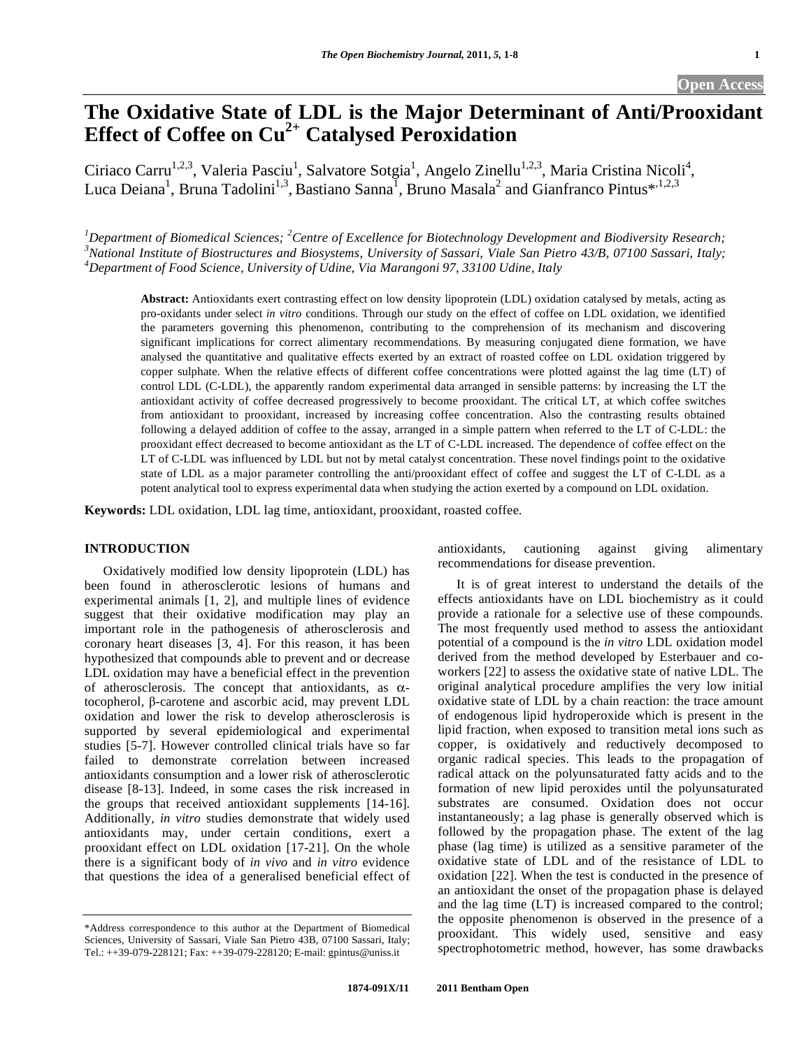# **The Oxidative State of LDL is the Major Determinant of Anti/Prooxidant Effect of Coffee on Cu2+ Catalysed Peroxidation**

Ciriaco Carru<sup>1,2,3</sup>, Valeria Pasciu<sup>1</sup>, Salvatore Sotgia<sup>1</sup>, Angelo Zinellu<sup>1,2,3</sup>, Maria Cristina Nicoli<sup>4</sup>, Luca Deiana<sup>1</sup>, Bruna Tadolini<sup>1,3</sup>, Bastiano Sanna<sup>1</sup>, Bruno Masala<sup>2</sup> and Gianfranco Pintus\*<sup>1,2,3</sup>

<sup>1</sup> Department of Biomedical Sciences; <sup>2</sup> Centre of Excellence for Biotechnology Development and Biodiversity Research;<br><sup>3</sup> National Institute of Biographyses and Biographyses University of Sassani, Viale San Biotre 42(B, *National Institute of Biostructures and Biosystems, University of Sassari, Viale San Pietro 43/B, 07100 Sassari, Italy; 4 Department of Food Science, University of Udine, Via Marangoni 97, 33100 Udine, Italy* 

**Abstract:** Antioxidants exert contrasting effect on low density lipoprotein (LDL) oxidation catalysed by metals, acting as pro-oxidants under select *in vitro* conditions. Through our study on the effect of coffee on LDL oxidation, we identified the parameters governing this phenomenon, contributing to the comprehension of its mechanism and discovering significant implications for correct alimentary recommendations. By measuring conjugated diene formation, we have analysed the quantitative and qualitative effects exerted by an extract of roasted coffee on LDL oxidation triggered by copper sulphate. When the relative effects of different coffee concentrations were plotted against the lag time (LT) of control LDL (C-LDL), the apparently random experimental data arranged in sensible patterns: by increasing the LT the antioxidant activity of coffee decreased progressively to become prooxidant. The critical LT, at which coffee switches from antioxidant to prooxidant, increased by increasing coffee concentration. Also the contrasting results obtained following a delayed addition of coffee to the assay, arranged in a simple pattern when referred to the LT of C-LDL: the prooxidant effect decreased to become antioxidant as the LT of C-LDL increased. The dependence of coffee effect on the LT of C-LDL was influenced by LDL but not by metal catalyst concentration. These novel findings point to the oxidative state of LDL as a major parameter controlling the anti/prooxidant effect of coffee and suggest the LT of C-LDL as a potent analytical tool to express experimental data when studying the action exerted by a compound on LDL oxidation.

**Keywords:** LDL oxidation, LDL lag time, antioxidant, prooxidant, roasted coffee.

# **INTRODUCTION**

 Oxidatively modified low density lipoprotein (LDL) has been found in atherosclerotic lesions of humans and experimental animals [1, 2], and multiple lines of evidence suggest that their oxidative modification may play an important role in the pathogenesis of atherosclerosis and coronary heart diseases [3, 4]. For this reason, it has been hypothesized that compounds able to prevent and or decrease LDL oxidation may have a beneficial effect in the prevention of atherosclerosis. The concept that antioxidants, as  $\alpha$ tocopherol,  $\beta$ -carotene and ascorbic acid, may prevent LDL oxidation and lower the risk to develop atherosclerosis is supported by several epidemiological and experimental studies [5-7]. However controlled clinical trials have so far failed to demonstrate correlation between increased antioxidants consumption and a lower risk of atherosclerotic disease [8-13]. Indeed, in some cases the risk increased in the groups that received antioxidant supplements [14-16]. Additionally*, in vitro* studies demonstrate that widely used antioxidants may, under certain conditions, exert a prooxidant effect on LDL oxidation [17-21]. On the whole there is a significant body of *in vivo* and *in vitro* evidence that questions the idea of a generalised beneficial effect of antioxidants, cautioning against giving alimentary recommendations for disease prevention.

 It is of great interest to understand the details of the effects antioxidants have on LDL biochemistry as it could provide a rationale for a selective use of these compounds. The most frequently used method to assess the antioxidant potential of a compound is the *in vitro* LDL oxidation model derived from the method developed by Esterbauer and coworkers [22] to assess the oxidative state of native LDL. The original analytical procedure amplifies the very low initial oxidative state of LDL by a chain reaction: the trace amount of endogenous lipid hydroperoxide which is present in the lipid fraction, when exposed to transition metal ions such as copper, is oxidatively and reductively decomposed to organic radical species. This leads to the propagation of radical attack on the polyunsaturated fatty acids and to the formation of new lipid peroxides until the polyunsaturated substrates are consumed. Oxidation does not occur instantaneously; a lag phase is generally observed which is followed by the propagation phase. The extent of the lag phase (lag time) is utilized as a sensitive parameter of the oxidative state of LDL and of the resistance of LDL to oxidation [22]. When the test is conducted in the presence of an antioxidant the onset of the propagation phase is delayed and the lag time (LT) is increased compared to the control; the opposite phenomenon is observed in the presence of a prooxidant. This widely used, sensitive and easy spectrophotometric method, however, has some drawbacks

<sup>\*</sup>Address correspondence to this author at the Department of Biomedical Sciences, University of Sassari, Viale San Pietro 43B, 07100 Sassari, Italy; Tel.: ++39-079-228121; Fax: ++39-079-228120; E-mail: gpintus@uniss.it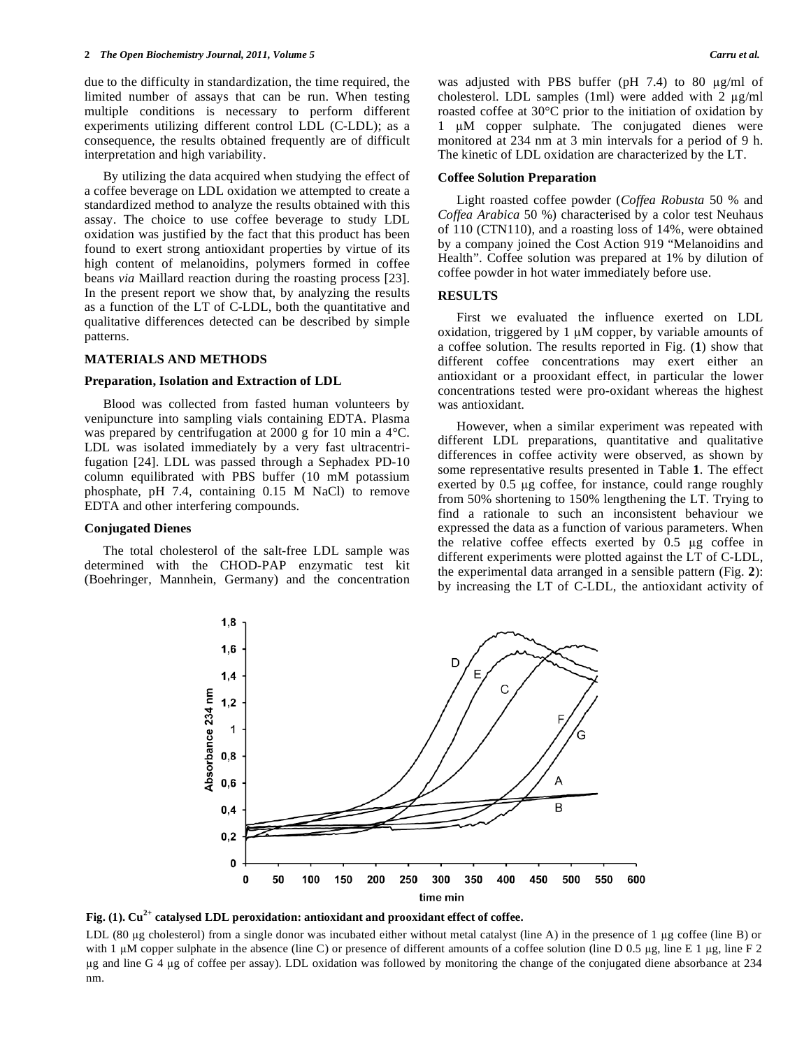due to the difficulty in standardization, the time required, the limited number of assays that can be run. When testing multiple conditions is necessary to perform different experiments utilizing different control LDL (C-LDL); as a consequence, the results obtained frequently are of difficult interpretation and high variability.

 By utilizing the data acquired when studying the effect of a coffee beverage on LDL oxidation we attempted to create a standardized method to analyze the results obtained with this assay. The choice to use coffee beverage to study LDL oxidation was justified by the fact that this product has been found to exert strong antioxidant properties by virtue of its high content of melanoidins, polymers formed in coffee beans *via* Maillard reaction during the roasting process [23]. In the present report we show that, by analyzing the results as a function of the LT of C-LDL, both the quantitative and qualitative differences detected can be described by simple patterns.

### **MATERIALS AND METHODS**

#### **Preparation, Isolation and Extraction of LDL**

 Blood was collected from fasted human volunteers by venipuncture into sampling vials containing EDTA. Plasma was prepared by centrifugation at 2000 g for 10 min a 4°C. LDL was isolated immediately by a very fast ultracentrifugation [24]. LDL was passed through a Sephadex PD-10 column equilibrated with PBS buffer (10 mM potassium phosphate, pH 7.4, containing 0.15 M NaCl) to remove EDTA and other interfering compounds.

#### **Conjugated Dienes**

 The total cholesterol of the salt-free LDL sample was determined with the CHOD-PAP enzymatic test kit (Boehringer, Mannhein, Germany) and the concentration was adjusted with PBS buffer (pH  $7.4$ ) to 80  $\mu$ g/ml of cholesterol. LDL samples (1ml) were added with 2  $\mu$ g/ml roasted coffee at 30°C prior to the initiation of oxidation by 1  $\mu$ M copper sulphate. The conjugated dienes were monitored at 234 nm at 3 min intervals for a period of 9 h. The kinetic of LDL oxidation are characterized by the LT.

#### **Coffee Solution Preparation**

 Light roasted coffee powder (*Coffea Robusta* 50 % and *Coffea Arabica* 50 %) characterised by a color test Neuhaus of 110 (CTN110), and a roasting loss of 14%, were obtained by a company joined the Cost Action 919 "Melanoidins and Health". Coffee solution was prepared at 1% by dilution of coffee powder in hot water immediately before use.

# **RESULTS**

 First we evaluated the influence exerted on LDL oxidation, triggered by  $1 \mu M$  copper, by variable amounts of a coffee solution. The results reported in Fig. (**1**) show that different coffee concentrations may exert either an antioxidant or a prooxidant effect, in particular the lower concentrations tested were pro-oxidant whereas the highest was antioxidant.

 However, when a similar experiment was repeated with different LDL preparations, quantitative and qualitative differences in coffee activity were observed, as shown by some representative results presented in Table **1**. The effect exerted by  $0.5 \mu$ g coffee, for instance, could range roughly from 50% shortening to 150% lengthening the LT. Trying to find a rationale to such an inconsistent behaviour we expressed the data as a function of various parameters. When the relative coffee effects exerted by  $0.5 \mu$ g coffee in different experiments were plotted against the LT of C-LDL, the experimental data arranged in a sensible pattern (Fig. **2**): by increasing the LT of C-LDL, the antioxidant activity of



Fig. (1).  $Cu^{2+}$  catalysed LDL peroxidation: antioxidant and prooxidant effect of coffee.

LDL (80 µg cholesterol) from a single donor was incubated either without metal catalyst (line A) in the presence of 1 µg coffee (line B) or with 1  $\mu$ M copper sulphate in the absence (line C) or presence of different amounts of a coffee solution (line D 0.5  $\mu$ g, line E 1  $\mu$ g, line F 2 g and line G 4 g of coffee per assay). LDL oxidation was followed by monitoring the change of the conjugated diene absorbance at 234 nm.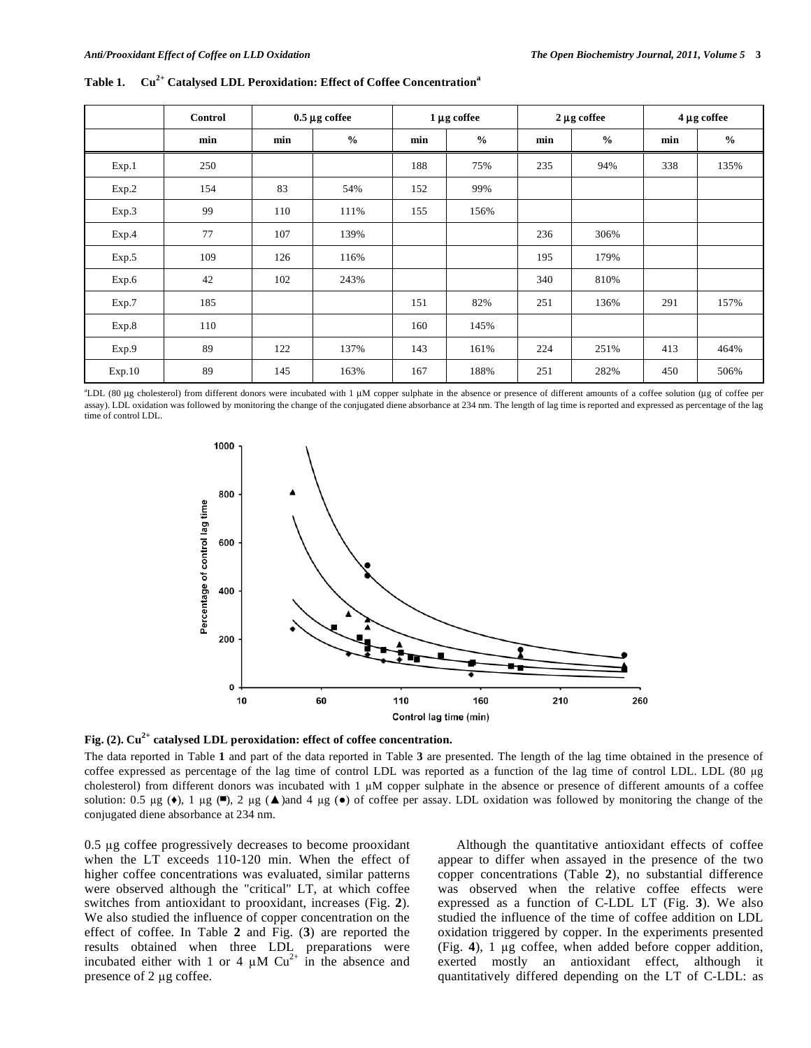|        | Control | $0.5 \mu$ g coffee |               | $1 \mu$ g coffee |               | $2 \mu g$ coffee |               | $4 \mu g$ coffee |               |
|--------|---------|--------------------|---------------|------------------|---------------|------------------|---------------|------------------|---------------|
|        | min     | min                | $\frac{6}{6}$ | min              | $\frac{6}{6}$ | min              | $\frac{0}{0}$ | min              | $\frac{0}{0}$ |
| Exp.1  | 250     |                    |               | 188              | 75%           | 235              | 94%           | 338              | 135%          |
| Exp.2  | 154     | 83                 | 54%           | 152              | 99%           |                  |               |                  |               |
| Exp.3  | 99      | 110                | 111%          | 155              | 156%          |                  |               |                  |               |
| Exp.4  | 77      | 107                | 139%          |                  |               | 236              | 306%          |                  |               |
| Exp.5  | 109     | 126                | 116%          |                  |               | 195              | 179%          |                  |               |
| Exp.6  | 42      | 102                | 243%          |                  |               | 340              | 810%          |                  |               |
| Exp.7  | 185     |                    |               | 151              | 82%           | 251              | 136%          | 291              | 157%          |
| Exp.8  | 110     |                    |               | 160              | 145%          |                  |               |                  |               |
| Exp.9  | 89      | 122                | 137%          | 143              | 161%          | 224              | 251%          | 413              | 464%          |
| Exp.10 | 89      | 145                | 163%          | 167              | 188%          | 251              | 282%          | 450              | 506%          |

Table 1. Cu<sup>2+</sup> Catalysed LDL Peroxidation: Effect of Coffee Concentration<sup>a</sup>

<sup>a</sup>LDL (80 μg cholesterol) from different donors were incubated with 1 μM copper sulphate in the absence or presence of different amounts of a coffee solution (μg of coffee per assay). LDL oxidation was followed by monitoring the change of the conjugated diene absorbance at 234 nm. The length of lag time is reported and expressed as percentage of the lag time of control LDL.



Fig. (2). Cu<sup>2+</sup> catalysed LDL peroxidation: effect of coffee concentration.

The data reported in Table **1** and part of the data reported in Table **3** are presented. The length of the lag time obtained in the presence of coffee expressed as percentage of the lag time of control LDL was reported as a function of the lag time of control LDL. LDL (80 µg cholesterol) from different donors was incubated with  $1 \mu M$  copper sulphate in the absence or presence of different amounts of a coffee solution: 0.5  $\mu$ g ( $\bullet$ ), 1  $\mu$ g ( $\Box$ ), 2  $\mu$ g ( $\Box$ )and 4  $\mu$ g ( $\bullet$ ) of coffee per assay. LDL oxidation was followed by monitoring the change of the conjugated diene absorbance at 234 nm.

0.5 µg coffee progressively decreases to become prooxidant when the LT exceeds 110-120 min. When the effect of higher coffee concentrations was evaluated, similar patterns were observed although the "critical" LT, at which coffee switches from antioxidant to prooxidant, increases (Fig. **2**). We also studied the influence of copper concentration on the effect of coffee. In Table **2** and Fig. (**3**) are reported the results obtained when three LDL preparations were incubated either with 1 or 4  $\mu$ M Cu<sup>2+</sup> in the absence and presence of  $2 \mu$ g coffee.

 Although the quantitative antioxidant effects of coffee appear to differ when assayed in the presence of the two copper concentrations (Table **2**), no substantial difference was observed when the relative coffee effects were expressed as a function of C-LDL LT (Fig. **3**). We also studied the influence of the time of coffee addition on LDL oxidation triggered by copper. In the experiments presented (Fig. **4**), 1 g coffee, when added before copper addition, exerted mostly an antioxidant effect, although it quantitatively differed depending on the LT of C-LDL: as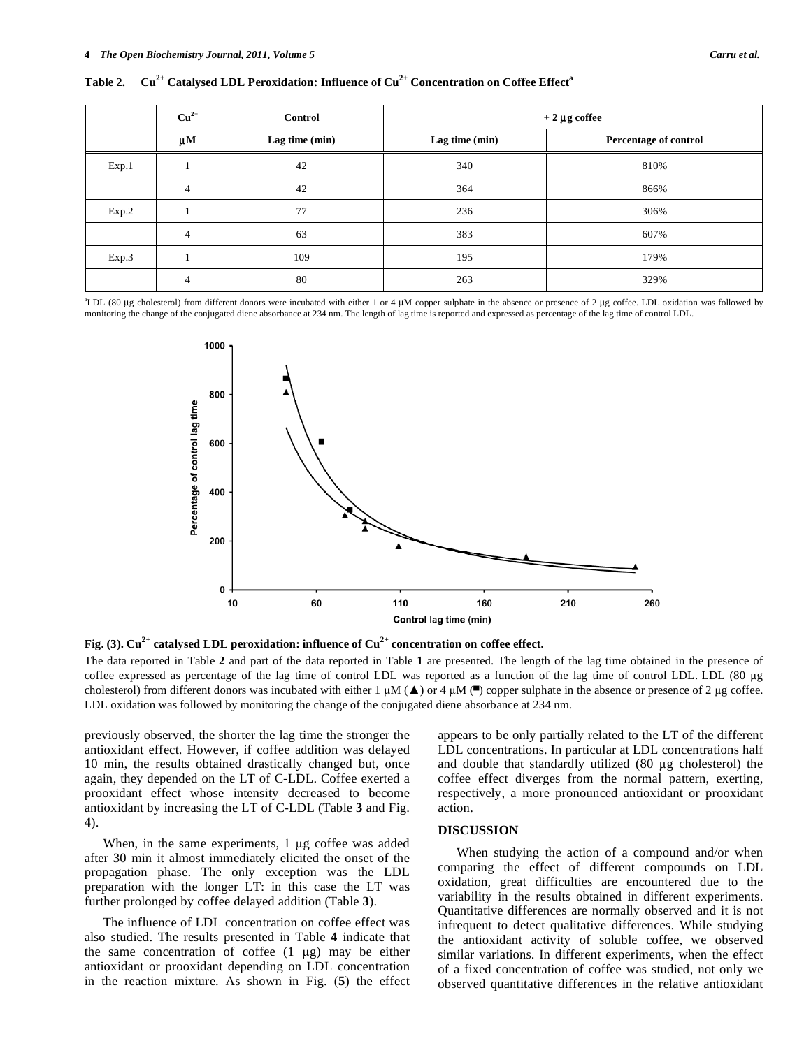|  |  |  | Table 2. Cu <sup>2+</sup> Catalysed LDL Peroxidation: Influence of Cu <sup>2+</sup> Concentration on Coffee Effect <sup>a</sup> |  |
|--|--|--|---------------------------------------------------------------------------------------------------------------------------------|--|
|  |  |  |                                                                                                                                 |  |

|       | $Cu2+$         | <b>Control</b> | $+2 \mu$ g coffee |                       |  |  |
|-------|----------------|----------------|-------------------|-----------------------|--|--|
|       | $\mu$ M        | Lag time (min) | Lag time $(min)$  | Percentage of control |  |  |
| Exp.1 |                | 42             | 340               | 810%                  |  |  |
|       | $\overline{4}$ | 42             | 364               | 866%                  |  |  |
| Exp.2 |                | 77             | 236               | 306%                  |  |  |
|       | $\overline{4}$ | 63             | 383               | 607%                  |  |  |
| Exp.3 |                | 109            | 195               | 179%                  |  |  |
|       | $\overline{4}$ | 80             | 263               | 329%                  |  |  |

<sup>a</sup>LDL (80 μg cholesterol) from different donors were incubated with either 1 or 4 μM copper sulphate in the absence or presence of 2 μg coffee. LDL oxidation was followed by monitoring the change of the conjugated diene absorbance at 234 nm. The length of lag time is reported and expressed as percentage of the lag time of control LDL.



Fig. (3). Cu<sup>2+</sup> catalysed LDL peroxidation: influence of Cu<sup>2+</sup> concentration on coffee effect.

The data reported in Table **2** and part of the data reported in Table **1** are presented. The length of the lag time obtained in the presence of coffee expressed as percentage of the lag time of control LDL was reported as a function of the lag time of control LDL. LDL (80 µg cholesterol) from different donors was incubated with either  $1 \mu M$  ( $\blacktriangle$ ) or 4  $\mu M$  ( $\blacktriangle$ ) copper sulphate in the absence or presence of 2  $\mu$ g coffee. LDL oxidation was followed by monitoring the change of the conjugated diene absorbance at 234 nm.

previously observed, the shorter the lag time the stronger the antioxidant effect. However, if coffee addition was delayed 10 min, the results obtained drastically changed but, once again, they depended on the LT of C-LDL. Coffee exerted a prooxidant effect whose intensity decreased to become antioxidant by increasing the LT of C-LDL (Table **3** and Fig. **4**).

When, in the same experiments,  $1 \mu$ g coffee was added after 30 min it almost immediately elicited the onset of the propagation phase. The only exception was the LDL preparation with the longer LT: in this case the LT was further prolonged by coffee delayed addition (Table **3**).

 The influence of LDL concentration on coffee effect was also studied. The results presented in Table **4** indicate that the same concentration of coffee  $(1 \mu g)$  may be either antioxidant or prooxidant depending on LDL concentration in the reaction mixture. As shown in Fig. (**5**) the effect appears to be only partially related to the LT of the different LDL concentrations. In particular at LDL concentrations half and double that standardly utilized  $(80 \mu g)$  cholesterol) the coffee effect diverges from the normal pattern, exerting, respectively, a more pronounced antioxidant or prooxidant action.

# **DISCUSSION**

 When studying the action of a compound and/or when comparing the effect of different compounds on LDL oxidation, great difficulties are encountered due to the variability in the results obtained in different experiments. Quantitative differences are normally observed and it is not infrequent to detect qualitative differences. While studying the antioxidant activity of soluble coffee, we observed similar variations. In different experiments, when the effect of a fixed concentration of coffee was studied, not only we observed quantitative differences in the relative antioxidant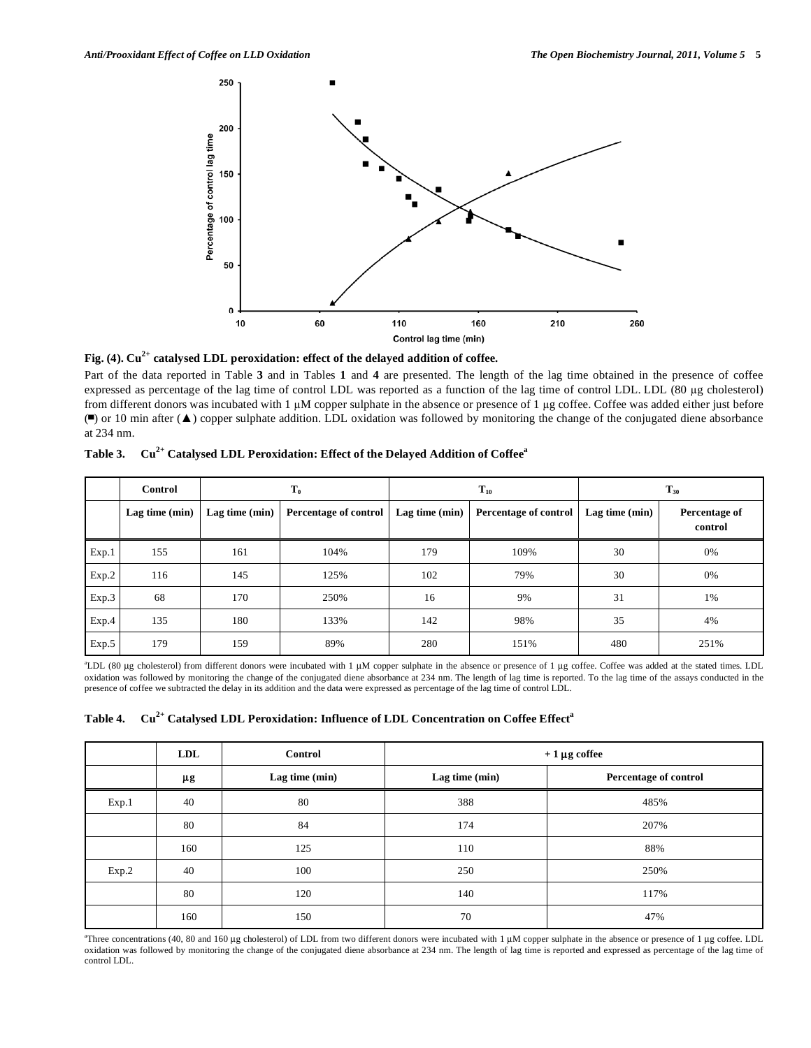

**Fig. (4). Cu2+ catalysed LDL peroxidation: effect of the delayed addition of coffee.** 

Part of the data reported in Table **3** and in Tables **1** and **4** are presented. The length of the lag time obtained in the presence of coffee expressed as percentage of the lag time of control LDL was reported as a function of the lag time of control LDL. LDL (80 µg cholesterol) from different donors was incubated with  $1 \mu$ M copper sulphate in the absence or presence of 1  $\mu$ g coffee. Coffee was added either just before  $\Box$  or 10 min after  $(\triangle)$  copper sulphate addition. LDL oxidation was followed by monitoring the change of the conjugated diene absorbance at 234 nm.

|  | Table 3. Cu <sup>2+</sup> Catalysed LDL Peroxidation: Effect of the Delayed Addition of Coffee <sup>9</sup> |
|--|-------------------------------------------------------------------------------------------------------------|
|  |                                                                                                             |

|       | Control        |                | $T_0$                 |                  | $T_{10}$                     | $T_{30}$         |                          |
|-------|----------------|----------------|-----------------------|------------------|------------------------------|------------------|--------------------------|
|       | Lag time (min) | Lag time (min) | Percentage of control | Lag time $(min)$ | <b>Percentage of control</b> | Lag time $(min)$ | Percentage of<br>control |
| Exp.1 | 155            | 161            | 104%                  | 179              | 109%                         | 30               | 0%                       |
| Exp.2 | 116            | 145            | 125%                  | 102              | 79%                          | 30               | 0%                       |
| Exp.3 | 68             | 170            | 250%                  | 16               | 9%                           | 31               | 1%                       |
| Exp.4 | 135            | 180            | 133%                  | 142              | 98%                          | 35               | 4%                       |
| Exp.5 | 179            | 159            | 89%                   | 280              | 151%                         | 480              | 251%                     |

<sup>a</sup>LDL (80 μg cholesterol) from different donors were incubated with 1 μM copper sulphate in the absence or presence of 1 μg coffee. Coffee was added at the stated times. LDL oxidation was followed by monitoring the change of the conjugated diene absorbance at 234 nm. The length of lag time is reported. To the lag time of the assays conducted in the presence of coffee we subtracted the delay in its addition and the data were expressed as percentage of the lag time of control LDL.

|  |  | Table 4.      Cu <sup>2+</sup> Catalysed LDL Peroxidation: Influence of LDL Concentration on Coffee Effect <sup>a</sup> |  |
|--|--|-------------------------------------------------------------------------------------------------------------------------|--|
|  |  |                                                                                                                         |  |

|       | LDL | <b>Control</b> | $+1 \mu g$ coffee |                       |  |
|-------|-----|----------------|-------------------|-----------------------|--|
|       | μg  | Lag time (min) | Lag time (min)    | Percentage of control |  |
| Exp.1 | 40  | 80             | 388               | 485%                  |  |
|       | 80  | 84             | 174               | 207%                  |  |
|       | 160 | 125            | 110               | 88%                   |  |
| Exp.2 | 40  | 100            | 250               | 250%                  |  |
|       | 80  | 120            | 140               | 117%                  |  |
|       | 160 | 150            | 70                | 47%                   |  |

<sup>a</sup>Three concentrations (40, 80 and 160 μg cholesterol) of LDL from two different donors were incubated with 1 μM copper sulphate in the absence or presence of 1 μg coffee. LDL oxidation was followed by monitoring the change of the conjugated diene absorbance at 234 nm. The length of lag time is reported and expressed as percentage of the lag time of control LDL.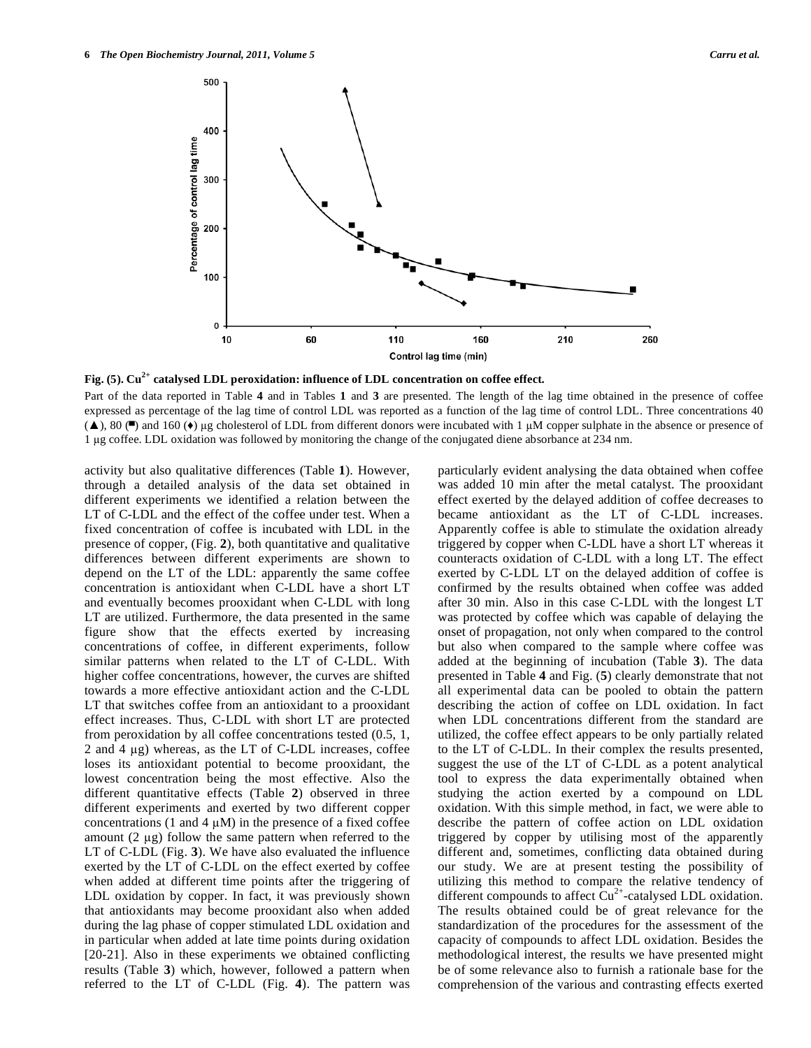

**Fig. (5). Cu2+ catalysed LDL peroxidation: influence of LDL concentration on coffee effect.** 

Part of the data reported in Table **4** and in Tables **1** and **3** are presented. The length of the lag time obtained in the presence of coffee expressed as percentage of the lag time of control LDL was reported as a function of the lag time of control LDL. Three concentrations 40  $(\blacktriangle)$ , 80 ( $\blacktriangle$ ) and 160 ( $\blacklozenge)$  µg cholesterol of LDL from different donors were incubated with 1 µM copper sulphate in the absence or presence of 1 g coffee. LDL oxidation was followed by monitoring the change of the conjugated diene absorbance at 234 nm.

activity but also qualitative differences (Table **1**). However, through a detailed analysis of the data set obtained in different experiments we identified a relation between the LT of C-LDL and the effect of the coffee under test. When a fixed concentration of coffee is incubated with LDL in the presence of copper, (Fig. **2**), both quantitative and qualitative differences between different experiments are shown to depend on the LT of the LDL: apparently the same coffee concentration is antioxidant when C-LDL have a short LT and eventually becomes prooxidant when C-LDL with long LT are utilized. Furthermore, the data presented in the same figure show that the effects exerted by increasing concentrations of coffee, in different experiments, follow similar patterns when related to the LT of C-LDL. With higher coffee concentrations, however, the curves are shifted towards a more effective antioxidant action and the C-LDL LT that switches coffee from an antioxidant to a prooxidant effect increases. Thus, C-LDL with short LT are protected from peroxidation by all coffee concentrations tested (0.5, 1, 2 and 4  $\mu$ g) whereas, as the LT of C-LDL increases, coffee loses its antioxidant potential to become prooxidant, the lowest concentration being the most effective. Also the different quantitative effects (Table **2**) observed in three different experiments and exerted by two different copper concentrations (1 and 4  $\mu$ M) in the presence of a fixed coffee amount  $(2 \mu g)$  follow the same pattern when referred to the LT of C-LDL (Fig. **3**). We have also evaluated the influence exerted by the LT of C-LDL on the effect exerted by coffee when added at different time points after the triggering of LDL oxidation by copper. In fact, it was previously shown that antioxidants may become prooxidant also when added during the lag phase of copper stimulated LDL oxidation and in particular when added at late time points during oxidation [20-21]. Also in these experiments we obtained conflicting results (Table **3**) which, however, followed a pattern when referred to the LT of C-LDL (Fig. **4**). The pattern was particularly evident analysing the data obtained when coffee was added 10 min after the metal catalyst. The prooxidant effect exerted by the delayed addition of coffee decreases to became antioxidant as the LT of C-LDL increases. Apparently coffee is able to stimulate the oxidation already triggered by copper when C-LDL have a short LT whereas it counteracts oxidation of C-LDL with a long LT. The effect exerted by C-LDL LT on the delayed addition of coffee is confirmed by the results obtained when coffee was added after 30 min. Also in this case C-LDL with the longest LT was protected by coffee which was capable of delaying the onset of propagation, not only when compared to the control but also when compared to the sample where coffee was added at the beginning of incubation (Table **3**). The data presented in Table **4** and Fig. (**5**) clearly demonstrate that not all experimental data can be pooled to obtain the pattern describing the action of coffee on LDL oxidation. In fact when LDL concentrations different from the standard are utilized, the coffee effect appears to be only partially related to the LT of C-LDL. In their complex the results presented, suggest the use of the LT of C-LDL as a potent analytical tool to express the data experimentally obtained when studying the action exerted by a compound on LDL oxidation. With this simple method, in fact, we were able to describe the pattern of coffee action on LDL oxidation triggered by copper by utilising most of the apparently different and, sometimes, conflicting data obtained during our study. We are at present testing the possibility of utilizing this method to compare the relative tendency of different compounds to affect  $Cu^{2+}$ -catalysed LDL oxidation. The results obtained could be of great relevance for the standardization of the procedures for the assessment of the capacity of compounds to affect LDL oxidation. Besides the methodological interest, the results we have presented might be of some relevance also to furnish a rationale base for the comprehension of the various and contrasting effects exerted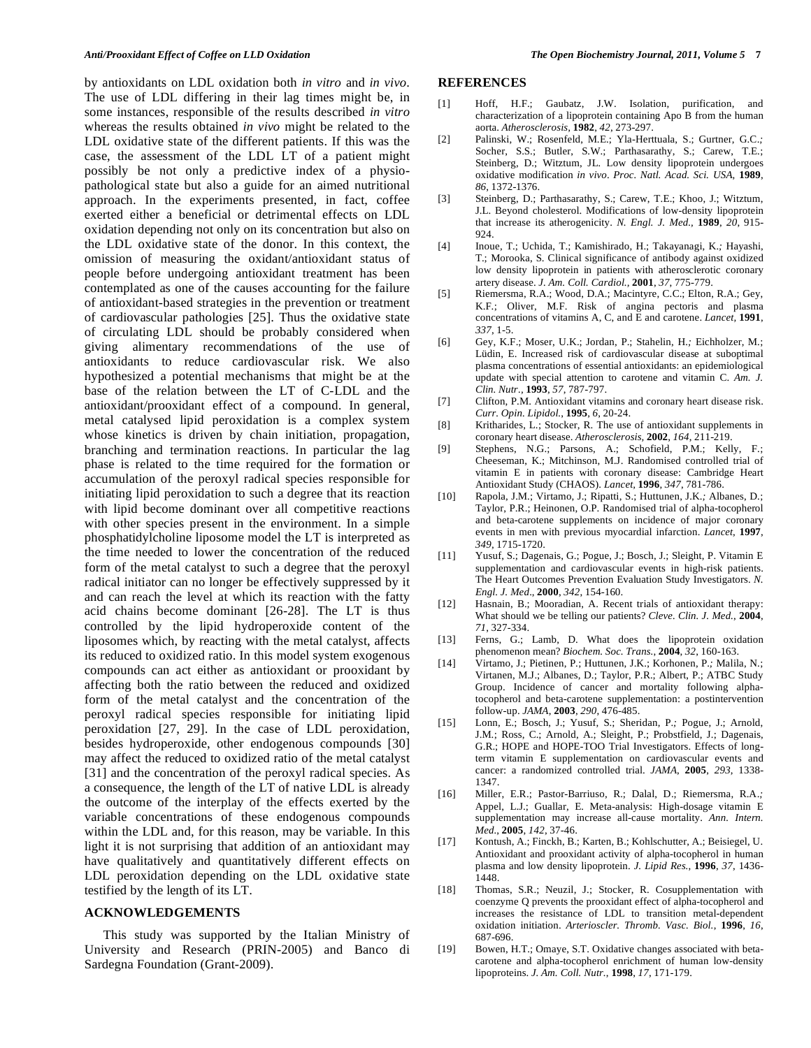by antioxidants on LDL oxidation both *in vitro* and *in vivo*. The use of LDL differing in their lag times might be, in some instances, responsible of the results described *in vitro* whereas the results obtained *in vivo* might be related to the LDL oxidative state of the different patients. If this was the case, the assessment of the LDL LT of a patient might possibly be not only a predictive index of a physiopathological state but also a guide for an aimed nutritional approach. In the experiments presented, in fact, coffee exerted either a beneficial or detrimental effects on LDL oxidation depending not only on its concentration but also on the LDL oxidative state of the donor. In this context, the omission of measuring the oxidant/antioxidant status of people before undergoing antioxidant treatment has been contemplated as one of the causes accounting for the failure of antioxidant-based strategies in the prevention or treatment of cardiovascular pathologies [25]. Thus the oxidative state of circulating LDL should be probably considered when giving alimentary recommendations of the use of antioxidants to reduce cardiovascular risk. We also hypothesized a potential mechanisms that might be at the base of the relation between the LT of C-LDL and the antioxidant/prooxidant effect of a compound. In general, metal catalysed lipid peroxidation is a complex system whose kinetics is driven by chain initiation, propagation, branching and termination reactions. In particular the lag phase is related to the time required for the formation or accumulation of the peroxyl radical species responsible for initiating lipid peroxidation to such a degree that its reaction with lipid become dominant over all competitive reactions with other species present in the environment. In a simple phosphatidylcholine liposome model the LT is interpreted as the time needed to lower the concentration of the reduced form of the metal catalyst to such a degree that the peroxyl radical initiator can no longer be effectively suppressed by it and can reach the level at which its reaction with the fatty acid chains become dominant [26-28]. The LT is thus controlled by the lipid hydroperoxide content of the liposomes which, by reacting with the metal catalyst, affects its reduced to oxidized ratio. In this model system exogenous compounds can act either as antioxidant or prooxidant by affecting both the ratio between the reduced and oxidized form of the metal catalyst and the concentration of the peroxyl radical species responsible for initiating lipid peroxidation [27, 29]. In the case of LDL peroxidation, besides hydroperoxide, other endogenous compounds [30] may affect the reduced to oxidized ratio of the metal catalyst [31] and the concentration of the peroxyl radical species. As a consequence, the length of the LT of native LDL is already the outcome of the interplay of the effects exerted by the variable concentrations of these endogenous compounds within the LDL and, for this reason, may be variable. In this light it is not surprising that addition of an antioxidant may have qualitatively and quantitatively different effects on LDL peroxidation depending on the LDL oxidative state testified by the length of its LT.

#### **ACKNOWLEDGEMENTS**

 This study was supported by the Italian Ministry of University and Research (PRIN-2005) and Banco di Sardegna Foundation (Grant-2009).

# **REFERENCES**

- [1] Hoff, H.F.; Gaubatz, J.W. Isolation, purification, and characterization of a lipoprotein containing Apo B from the human aorta. *Atherosclerosis,* **1982**, *42*, 273-297.
- [2] Palinski, W.; Rosenfeld, M.E.; Yla-Herttuala, S.; Gurtner, G.C.*;*  Socher, S.S.; Butler, S.W.; Parthasarathy, S.; Carew, T.E.; Steinberg, D.; Witztum, JL*.* Low density lipoprotein undergoes oxidative modification *in vivo*. *Proc. Natl. Acad. Sci. USA*, **1989**, *86*, 1372-1376.
- [3] Steinberg, D.; Parthasarathy, S.; Carew, T.E.; Khoo, J.; Witztum, J.L. Beyond cholesterol. Modifications of low-density lipoprotein that increase its atherogenicity. *N. Engl. J. Med.,* **1989**, *20*, 915- 924.
- [4] Inoue, T.; Uchida, T.; Kamishirado, H.; Takayanagi, K.*;* Hayashi, T.; Morooka, S. Clinical significance of antibody against oxidized low density lipoprotein in patients with atherosclerotic coronary artery disease. *J. Am. Coll. Cardiol.,* **2001**, *37*, 775-779.
- [5] Riemersma, R.A.; Wood, D.A.; Macintyre, C.C.; Elton, R.A.; Gey, K.F.; Oliver, M.F. Risk of angina pectoris and plasma concentrations of vitamins A, C, and E and carotene. *Lancet,* **1991**, *337*, 1-5.
- [6] Gey, K.F.; Moser, U.K.; Jordan, P.; Stahelin, H.*;* Eichholzer, M.; Lüdin, E. Increased risk of cardiovascular disease at suboptimal plasma concentrations of essential antioxidants: an epidemiological update with special attention to carotene and vitamin C. *Am. J. Clin. Nutr.,* **1993**, *57*, 787-797.
- [7] Clifton, P.M. Antioxidant vitamins and coronary heart disease risk. *Curr. Opin. Lipidol.*, **1995**, *6*, 20-24.
- [8] Kritharides, L.; Stocker, R. The use of antioxidant supplements in coronary heart disease. *Atherosclerosis,* **2002**, *164*, 211-219.
- [9] Stephens, N.G.; Parsons, A.; Schofield, P.M.; Kelly, F.; Cheeseman, K.; Mitchinson, M.J. Randomised controlled trial of vitamin E in patients with coronary disease: Cambridge Heart Antioxidant Study (CHAOS). *Lancet,* **1996**, *347*, 781-786.
- [10] Rapola, J.M.; Virtamo, J.; Ripatti, S.; Huttunen, J.K.*;* Albanes, D.; Taylor, P.R.; Heinonen, O.P. Randomised trial of alpha-tocopherol and beta-carotene supplements on incidence of major coronary events in men with previous myocardial infarction. *Lancet*, **1997**, *349*, 1715-1720.
- [11] Yusuf, S.; Dagenais, G.; Pogue, J.; Bosch, J.; Sleight, P. Vitamin E supplementation and cardiovascular events in high-risk patients. The Heart Outcomes Prevention Evaluation Study Investigators. *N. Engl. J. Med*., **2000**, *342*, 154-160.
- [12] Hasnain, B.; Mooradian, A. Recent trials of antioxidant therapy: What should we be telling our patients? *Cleve. Clin. J. Med.*, **2004**, *71*, 327-334.
- [13] Ferns, G.; Lamb, D. What does the lipoprotein oxidation phenomenon mean? *Biochem. Soc. Trans.*, **2004**, *32*, 160-163.
- [14] Virtamo, J.; Pietinen, P.; Huttunen, J.K.; Korhonen, P.*;* Malila, N.; Virtanen, M.J.; Albanes, D.; Taylor, P.R.; Albert, P.; ATBC Study Group. Incidence of cancer and mortality following alphatocopherol and beta-carotene supplementation: a postintervention follow-up. *JAMA*, **2003**, *290*, 476-485.
- [15] Lonn, E.; Bosch, J.; Yusuf, S.; Sheridan, P.*;* Pogue, J.; Arnold, J.M.; Ross, C.; Arnold, A.; Sleight, P.; Probstfield, J.; Dagenais, G.R.; HOPE and HOPE-TOO Trial Investigators. Effects of longterm vitamin E supplementation on cardiovascular events and cancer: a randomized controlled trial. *JAMA*, **2005**, *293*, 1338- 1347.
- [16] Miller, E.R.; Pastor-Barriuso, R.; Dalal, D.; Riemersma, R.A.*;*  Appel, L.J.; Guallar, E. Meta-analysis: High-dosage vitamin E supplementation may increase all-cause mortality. *Ann. Intern. Med.*, **2005**, *142*, 37-46.
- [17] Kontush, A.; Finckh, B.; Karten, B.; Kohlschutter, A.; Beisiegel, U. Antioxidant and prooxidant activity of alpha-tocopherol in human plasma and low density lipoprotein. *J. Lipid Res.*, **1996**, *37*, 1436- 1448.
- [18] Thomas, S.R.; Neuzil, J.; Stocker, R. Cosupplementation with coenzyme Q prevents the prooxidant effect of alpha-tocopherol and increases the resistance of LDL to transition metal-dependent oxidation initiation. *Arterioscler. Thromb. Vasc. Biol.*, **1996**, *16*, 687-696.
- [19] Bowen, H.T.; Omaye, S.T. Oxidative changes associated with betacarotene and alpha-tocopherol enrichment of human low-density lipoproteins. *J. Am. Coll. Nutr.*, **1998**, *17*, 171-179.